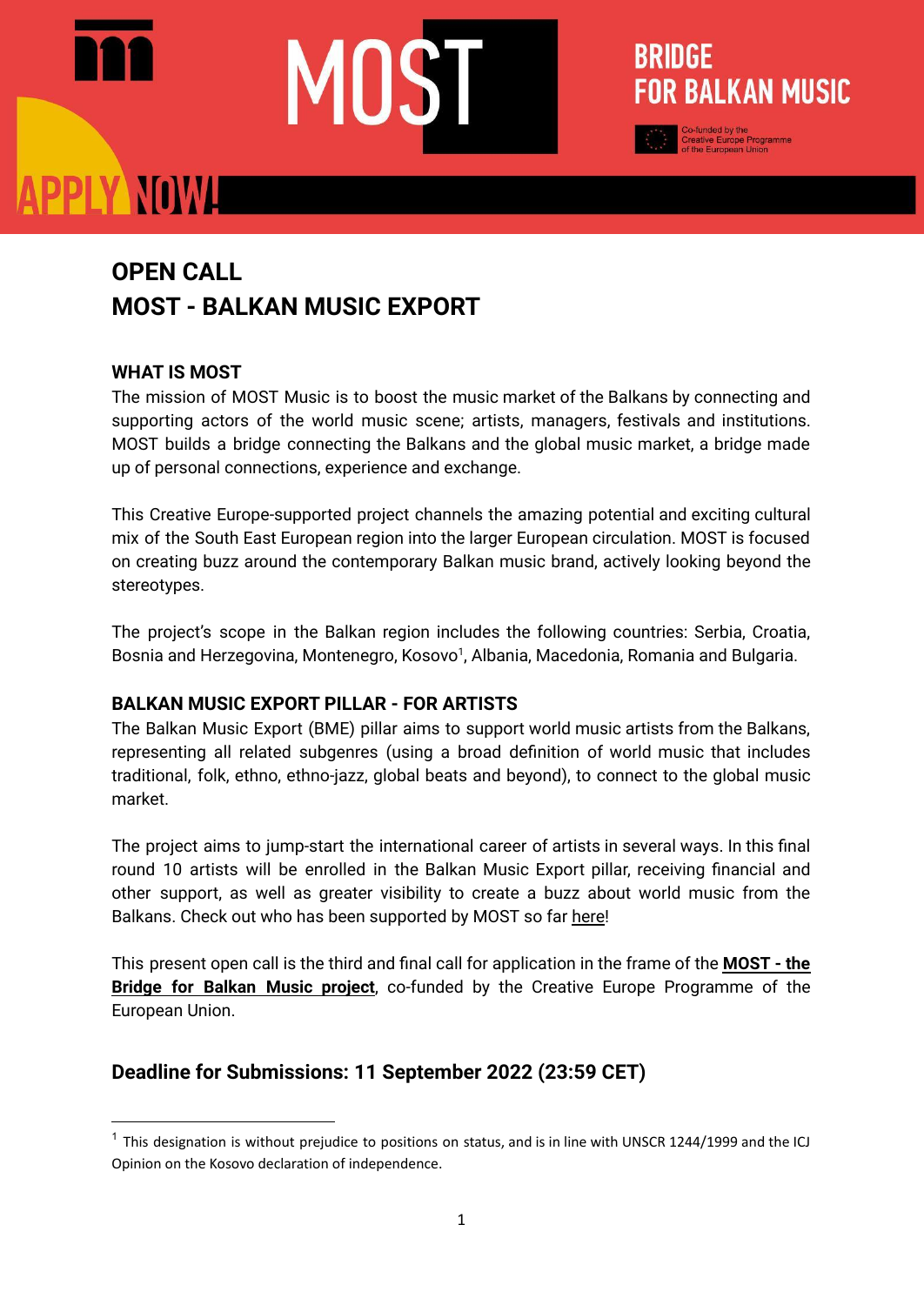### **PPLY NOWLE**

### **OPEN CALL MOST - BALKAN MUSIC EXPORT**

#### **WHAT IS MOST**

The mission of MOST Music is to boost the music market of the Balkans by connecting and supporting actors of the world music scene; artists, managers, festivals and institutions. MOST builds a bridge connecting the Balkans and the global music market, a bridge made up of personal connections, experience and exchange.

**BRIDGE** 

**FOR BALKAN MUSIC** 

This Creative Europe-supported project channels the amazing potential and exciting cultural mix of the South East European region into the larger European circulation. MOST is focused on creating buzz around the contemporary Balkan music brand, actively looking beyond the stereotypes.

The project's scope in the Balkan region includes the following countries: Serbia, Croatia, Bosnia and Herzegovina, Montenegro, Kosovo<sup>1</sup>, Albania, Macedonia, Romania and Bulgaria.

#### **BALKAN MUSIC EXPORT PILLAR - FOR ARTISTS**

The Balkan Music Export (BME) pillar aims to support world music artists from the Balkans, representing all related subgenres (using a broad definition of world music that includes traditional, folk, ethno, ethno-jazz, global beats and beyond), to connect to the global music market.

The project aims to jump-start the international career of artists in several ways. In this final round 10 artists will be enrolled in the Balkan Music Export pillar, receiving financial and other support, as well as greater visibility to create a buzz about world music from the Balkans. Check out who has been supported by MOST so far [here](https://mostmusic.eu/artists/)!

This present open call is the third and final call for application in the frame of the **[MOST](https://mostmusic.eu/) - the Bridge for Balkan Music [project](https://mostmusic.eu/)**, co-funded by the Creative Europe Programme of the European Union.

#### **Deadline for Submissions: 11 September 2022 (23:59 CET)**

 $1$  This designation is without prejudice to positions on status, and is in line with UNSCR 1244/1999 and the ICJ Opinion on the Kosovo declaration of independence.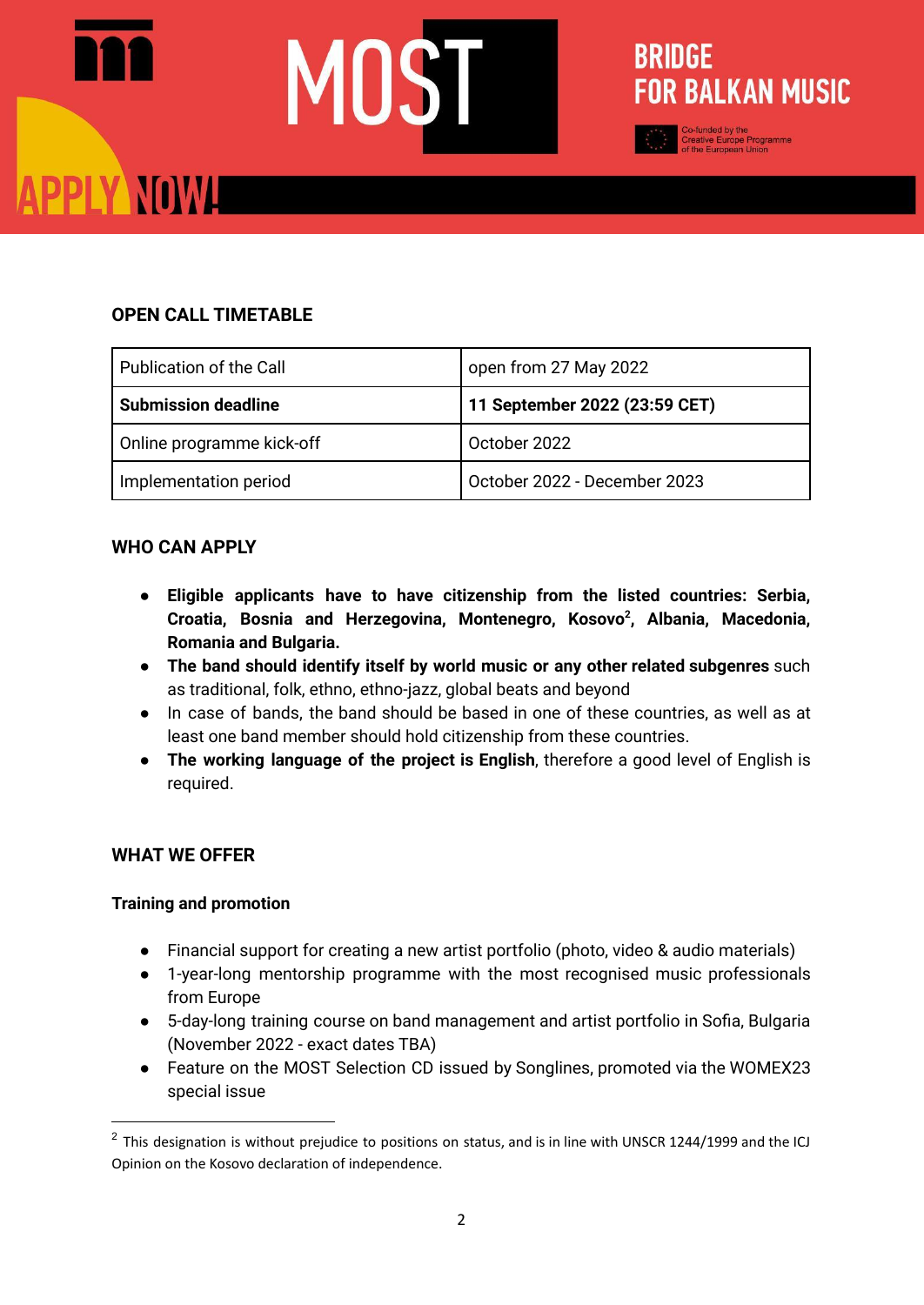## **PPLY NOWA**

#### **OPEN CALL TIMETABLE**

| Publication of the Call    | open from 27 May 2022         |
|----------------------------|-------------------------------|
| <b>Submission deadline</b> | 11 September 2022 (23:59 CET) |
| Online programme kick-off  | October 2022                  |
| Implementation period      | October 2022 - December 2023  |

**BRIDGE** 

**FOR BALKAN MUSIC** 

#### **WHO CAN APPLY**

- **● Eligible applicants have to have citizenship from the listed countries: Serbia, Croatia, Bosnia and Herzegovina, Montenegro, Kosovo 2 , Albania, Macedonia, Romania and Bulgaria.**
- **● The band should identify itself by world music or any other related subgenres** such as traditional, folk, ethno, ethno-jazz, global beats and beyond
- In case of bands, the band should be based in one of these countries, as well as at least one band member should hold citizenship from these countries.
- **The working language of the project is English**, therefore a good level of English is required.

#### **WHAT WE OFFER**

#### **Training and promotion**

- Financial support for creating a new artist portfolio (photo, video & audio materials)
- 1-year-long mentorship programme with the most recognised music professionals from Europe
- 5-day-long training course on band management and artist portfolio in Sofia, Bulgaria (November 2022 - exact dates TBA)
- Feature on the MOST Selection CD issued by Songlines, promoted via the WOMEX23 special issue

 $2$  This designation is without prejudice to positions on status, and is in line with UNSCR 1244/1999 and the ICJ Opinion on the Kosovo declaration of independence.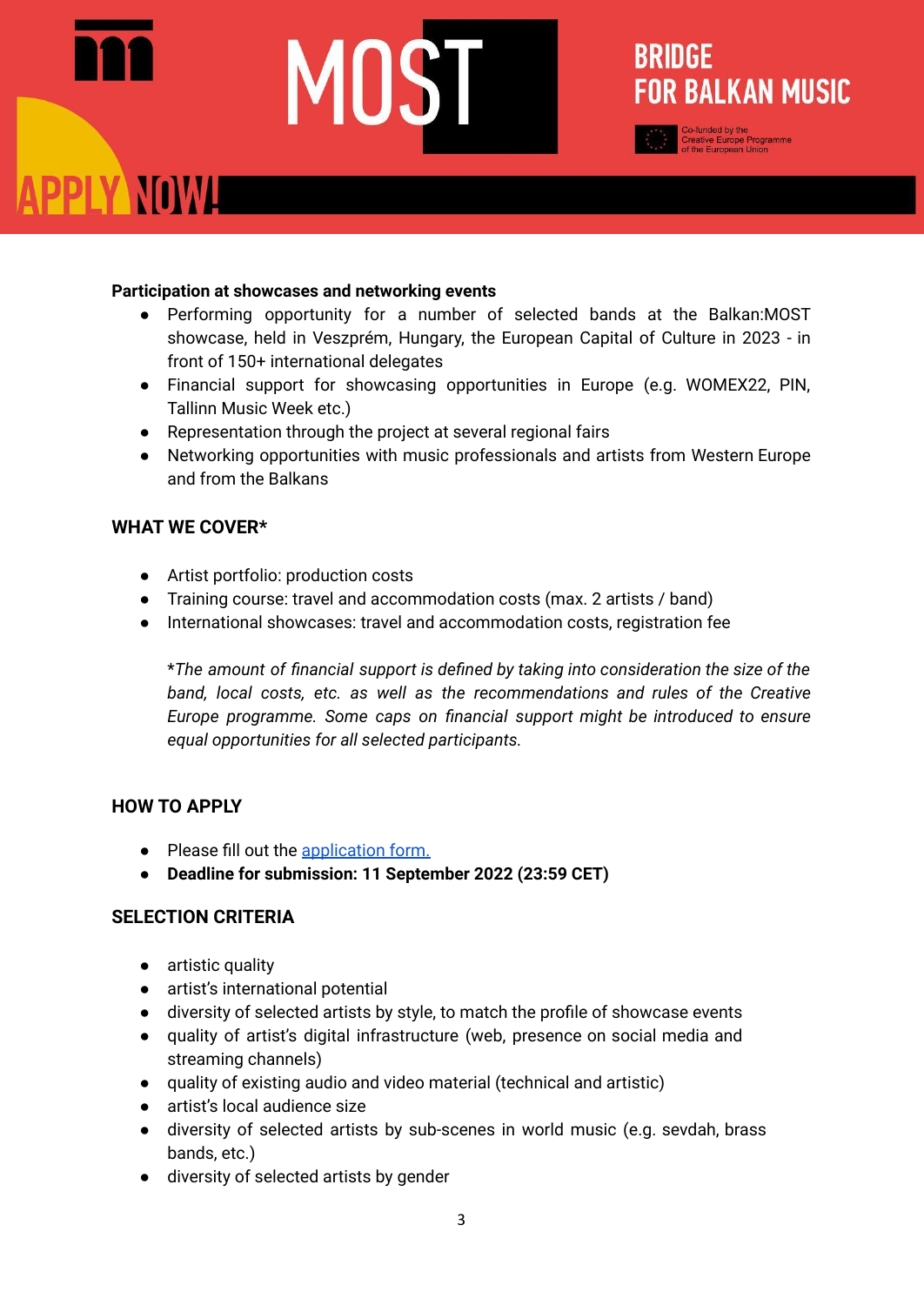### **BRIDGE FOR BALKAN MUSIC** PPLY NOWL

#### **Participation at showcases and networking events**

- Performing opportunity for a number of selected bands at the Balkan:MOST showcase, held in Veszprém, Hungary, the European Capital of Culture in 2023 - in front of 150+ international delegates
- Financial support for showcasing opportunities in Europe (e.g. WOMEX22, PIN, Tallinn Music Week etc.)
- Representation through the project at several regional fairs
- Networking opportunities with music professionals and artists from Western Europe and from the Balkans

#### **WHAT WE COVER\***

- Artist portfolio: production costs
- Training course: travel and accommodation costs (max. 2 artists / band)
- International showcases: travel and accommodation costs, registration fee

\**The amount of financial support is defined by taking into consideration the size of the band, local costs, etc. as well as the recommendations and rules of the Creative Europe programme. Some caps on financial support might be introduced to ensure equal opportunities for all selected participants.*

#### **HOW TO APPLY**

- Please fill out the [application](https://forms.gle/3Fa5CFqhb6RUqiDWA) form.
- **● Deadline for submission: 11 September 2022 (23:59 CET)**

#### **SELECTION CRITERIA**

- artistic quality
- artist's international potential
- diversity of selected artists by style, to match the profile of showcase events
- quality of artist's digital infrastructure (web, presence on social media and streaming channels)
- quality of existing audio and video material (technical and artistic)
- artist's local audience size
- diversity of selected artists by sub-scenes in world music (e.g. sevdah, brass bands, etc.)
- diversity of selected artists by gender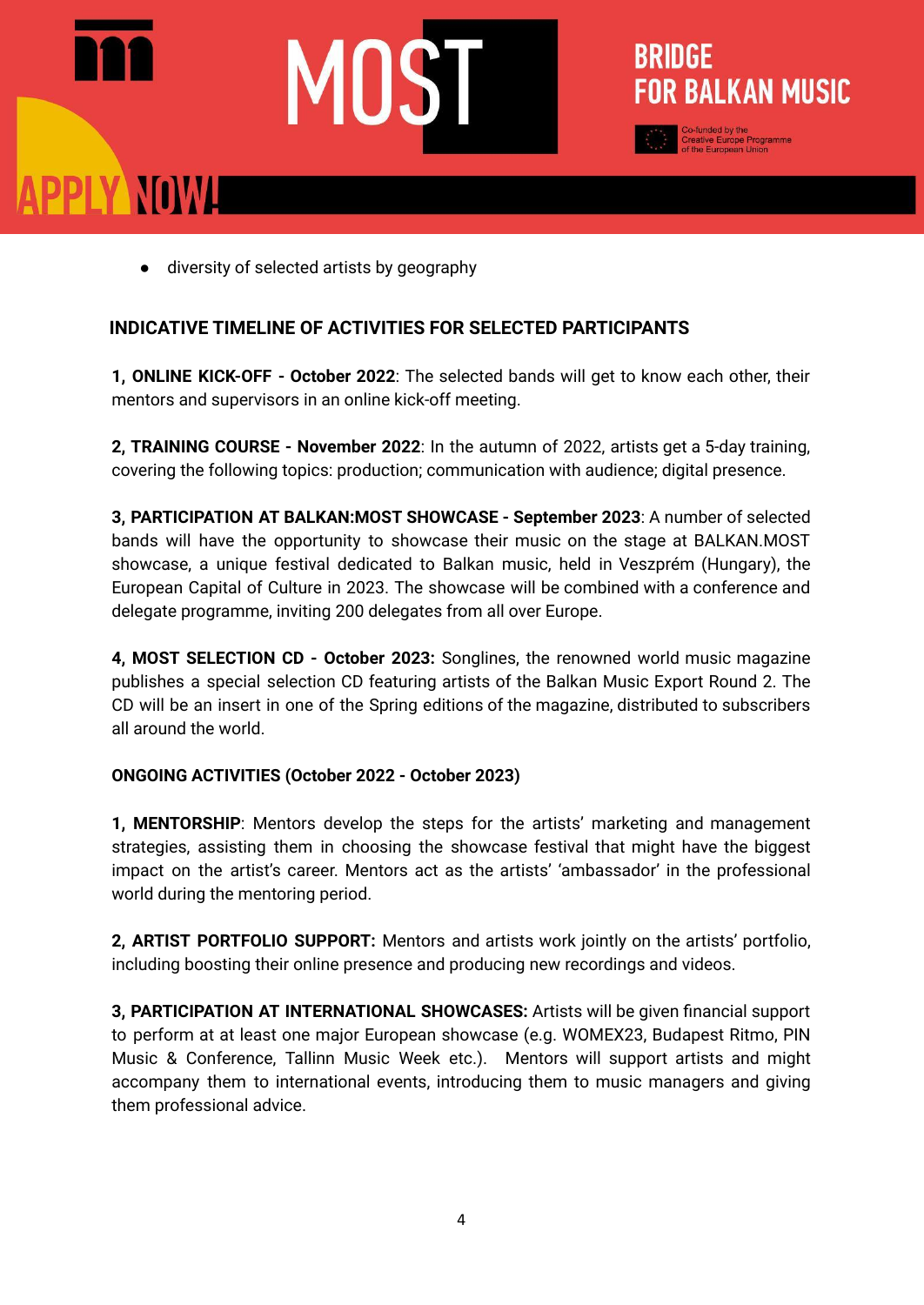## PPLY NOWH



#### **INDICATIVE TIMELINE OF ACTIVITIES FOR SELECTED PARTICIPANTS**

**1, ONLINE KICK-OFF - October 2022**: The selected bands will get to know each other, their mentors and supervisors in an online kick-off meeting.

**BRIDGE** 

**FOR BALKAN MUSIC** 

**2, TRAINING COURSE - November 2022**: In the autumn of 2022, artists get a 5-day training, covering the following topics: production; communication with audience; digital presence.

**3, PARTICIPATION AT BALKAN:MOST SHOWCASE - September 2023**: A number of selected bands will have the opportunity to showcase their music on the stage at BALKAN.MOST showcase, a unique festival dedicated to Balkan music, held in Veszprém (Hungary), the European Capital of Culture in 2023. The showcase will be combined with a conference and delegate programme, inviting 200 delegates from all over Europe.

**4, MOST SELECTION CD - October 2023:** Songlines, the renowned world music magazine publishes a special selection CD featuring artists of the Balkan Music Export Round 2. The CD will be an insert in one of the Spring editions of the magazine, distributed to subscribers all around the world.

#### **ONGOING ACTIVITIES (October 2022 - October 2023)**

**1, MENTORSHIP**: Mentors develop the steps for the artists' marketing and management strategies, assisting them in choosing the showcase festival that might have the biggest impact on the artist's career. Mentors act as the artists' 'ambassador' in the professional world during the mentoring period.

**2, ARTIST PORTFOLIO SUPPORT:** Mentors and artists work jointly on the artists' portfolio, including boosting their online presence and producing new recordings and videos.

**3, PARTICIPATION AT INTERNATIONAL SHOWCASES:** Artists will be given financial support to perform at at least one major European showcase (e.g. WOMEX23, Budapest Ritmo, PIN Music & Conference, Tallinn Music Week etc.). Mentors will support artists and might accompany them to international events, introducing them to music managers and giving them professional advice.